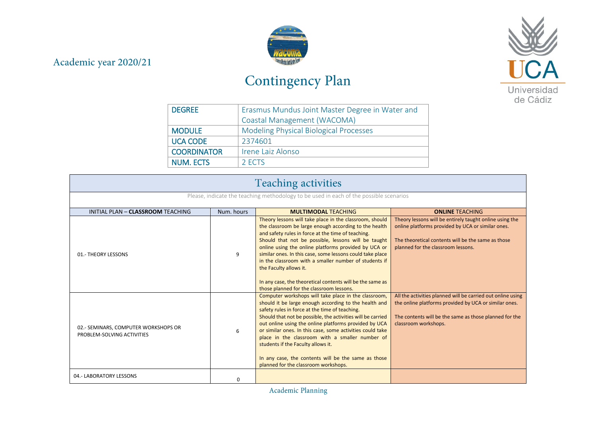## Academic year 2020/21



## Contingency Plan



| <b>DEGREE</b>      | Erasmus Mundus Joint Master Degree in Water and |
|--------------------|-------------------------------------------------|
|                    | Coastal Management (WACOMA)                     |
| <b>MODULE</b>      | <b>Modeling Physical Biological Processes</b>   |
| <b>UCA CODE</b>    | 2374601                                         |
| <b>COORDINATOR</b> | Irene Laiz Alonso                               |
| <b>NUM. ECTS</b>   | 2 ECTS                                          |

| <b>Teaching activities</b>                                                             |            |                                                                                                                                                                                                                                                                                                                                                                                                                                                                                                                                                |                                                                                                                                                                                                          |  |
|----------------------------------------------------------------------------------------|------------|------------------------------------------------------------------------------------------------------------------------------------------------------------------------------------------------------------------------------------------------------------------------------------------------------------------------------------------------------------------------------------------------------------------------------------------------------------------------------------------------------------------------------------------------|----------------------------------------------------------------------------------------------------------------------------------------------------------------------------------------------------------|--|
| Please, indicate the teaching methodology to be used in each of the possible scenarios |            |                                                                                                                                                                                                                                                                                                                                                                                                                                                                                                                                                |                                                                                                                                                                                                          |  |
| INITIAL PLAN - CLASSROOM TEACHING                                                      | Num, hours | <b>MULTIMODAL TEACHING</b>                                                                                                                                                                                                                                                                                                                                                                                                                                                                                                                     | <b>ONLINE TEACHING</b>                                                                                                                                                                                   |  |
| 01.- THEORY LESSONS                                                                    | 9          | Theory lessons will take place in the classroom, should<br>the classroom be large enough according to the health<br>and safety rules in force at the time of teaching.<br>Should that not be possible, lessons will be taught<br>online using the online platforms provided by UCA or<br>similar ones. In this case, some lessons could take place<br>in the classroom with a smaller number of students if<br>the Faculty allows it.<br>In any case, the theoretical contents will be the same as<br>those planned for the classroom lessons. | Theory lessons will be entirely taught online using the<br>online platforms provided by UCA or similar ones.<br>The theoretical contents will be the same as those<br>planned for the classroom lessons. |  |
| 02.- SEMINARS, COMPUTER WORKSHOPS OR<br>PROBLEM-SOLVING ACTIVITIES                     | 6          | Computer workshops will take place in the classroom,<br>should it be large enough according to the health and<br>safety rules in force at the time of teaching.<br>Should that not be possible, the activities will be carried<br>out online using the online platforms provided by UCA<br>or similar ones. In this case, some activities could take<br>place in the classroom with a smaller number of<br>students if the Faculty allows it.<br>In any case, the contents will be the same as those<br>planned for the classroom workshops.   | All the activities planned will be carried out online using<br>the online platforms provided by UCA or similar ones.<br>The contents will be the same as those planned for the<br>classroom workshops.   |  |
| 04.- LABORATORY LESSONS                                                                | $\Omega$   |                                                                                                                                                                                                                                                                                                                                                                                                                                                                                                                                                |                                                                                                                                                                                                          |  |

Academic Planning